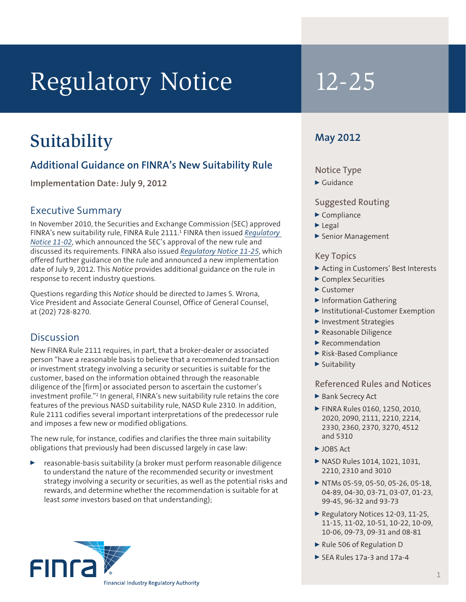# Regulatory Notice 12-25

## Suitability

### **Additional Guidance on FINRA's New Suitability Rule**

**Implementation Date: July 9, 2012**

#### Executive Summary

In November 2010, the Securities and Exchange Commission (SEC) approved FINRA's new suitability rule, FINRA Rule 2111.<sup>1</sup> FINRA then issued *Regulatory [Notice 11-02](http://www.finra.org/Industry/Regulation/Notices/2011/P122779)*, which announced the SEC's approval of the new rule and discussed its requirements. FINRA also issued *[Regulatory Notice 11-25](http://www.finra.org/Industry/Regulation/Notices/2011/P123702)*, which offered further guidance on the rule and announced a new implementation date of July 9, 2012. This *Notice* provides additional guidance on the rule in response to recent industry questions.

Questions regarding this *Notice* should be directed to James S. Wrona, Vice President and Associate General Counsel, Office of General Counsel, at (202) 728-8270.

#### **Discussion**

New FINRA Rule 2111 requires, in part, that a broker-dealer or associated person "have a reasonable basis to believe that a recommended transaction or investment strategy involving a security or securities is suitable for the customer, based on the information obtained through the reasonable diligence of the [firm] or associated person to ascertain the customer's investment profile."<sup>2</sup> In general, FINRA's new suitability rule retains the core features of the previous NASD suitability rule, NASD Rule 2310. In addition, Rule 2111 codifies several important interpretations of the predecessor rule and imposes a few new or modified obligations.

The new rule, for instance, codifies and clarifies the three main suitability obligations that previously had been discussed largely in case law:

reasonable-basis suitability (a broker must perform reasonable diligence to understand the nature of the recommended security or investment strategy involving a security or securities, as well as the potential risks and rewards, and determine whether the recommendation is suitable for at least *some* investors based on that understanding);



#### **May 2012**

#### Notice Type

 $\blacktriangleright$  Guidance

#### Suggested Routing

- $\blacktriangleright$  Compliance
- $\blacktriangleright$  Legal
- ▶ Senior Management

#### Key Topics

- ▶ Acting in Customers' Best Interests
- $\blacktriangleright$  Complex Securities
- $\blacktriangleright$  Customer
- **D** Information Gathering
- ▶ Institutional-Customer Exemption
- Investment Strategies
- $\blacktriangleright$  Reasonable Diligence
- $\blacktriangleright$  Recommendation
- ▶ Risk-Based Compliance
- $\blacktriangleright$  Suitability

#### Referenced Rules and Notices

- ▶ Bank Secrecy Act
- **FINRA Rules 0160, 1250, 2010,** 2020, 2090, 2111, 2210, 2214, 2330, 2360, 2370, 3270, 4512 and 5310
- ▶ JOBS Act
- NASD Rules 1014, 1021, 1031, 2210, 2310 and 3010
- $\triangleright$  NTMs 05-59, 05-50, 05-26, 05-18, 04-89, 04-30, 03-71, 03-07, 01-23, 99-45, 96-32 and 93-73
- ▶ Regulatory Notices 12-03, 11-25, 11-15, 11-02, 10-51, 10-22, 10-09, 10-06, 09-73, 09-31 and 08-81
- ▶ Rule 506 of Regulation D
- $\triangleright$  SEA Rules 17a-3 and 17a-4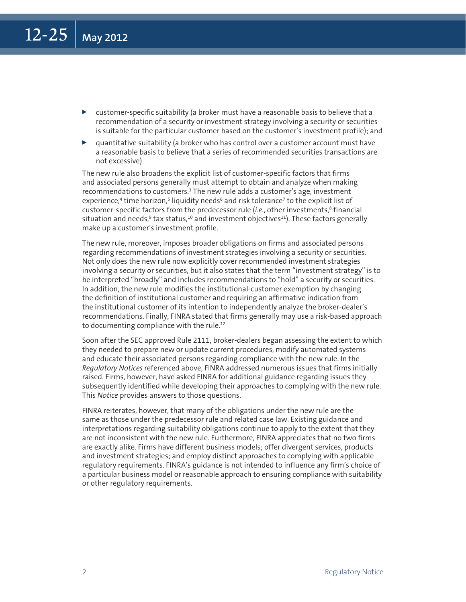- $\triangleright$  customer-specific suitability (a broker must have a reasonable basis to believe that a recommendation of a security or investment strategy involving a security or securities is suitable for the particular customer based on the customer's investment profile); and
- $\blacktriangleright$  quantitative suitability (a broker who has control over a customer account must have a reasonable basis to believe that a series of recommended securities transactions are not excessive).

The new rule also broadens the explicit list of customer-specific factors that firms and associated persons generally must attempt to obtain and analyze when making recommendations to customers.<sup>3</sup> The new rule adds a customer's age, investment experience,<sup>4</sup> time horizon,<sup>5</sup> liquidity needs<sup>6</sup> and risk tolerance<sup>7</sup> to the explicit list of customer-specific factors from the predecessor rule (*i.e.*, other investments,<sup>8</sup> financial situation and needs,<sup>9</sup> tax status,<sup>10</sup> and investment objectives<sup>11</sup>). These factors generally make up a customer's investment profile.

The new rule, moreover, imposes broader obligations on firms and associated persons regarding recommendations of investment strategies involving a security or securities. Not only does the new rule now explicitly cover recommended investment strategies involving a security or securities, but it also states that the term "investment strategy" is to be interpreted "broadly" and includes recommendations to "hold" a security or securities. In addition, the new rule modifies the institutional-customer exemption by changing the definition of institutional customer and requiring an affirmative indication from the institutional customer of its intention to independently analyze the broker-dealer's recommendations. Finally, FINRA stated that firms generally may use a risk-based approach to documenting compliance with the rule.<sup>12</sup>

Soon after the SEC approved Rule 2111, broker-dealers began assessing the extent to which they needed to prepare new or update current procedures, modify automated systems and educate their associated persons regarding compliance with the new rule. In the *Regulatory Notices* referenced above, FINRA addressed numerous issues that firms initially raised. Firms, however, have asked FINRA for additional guidance regarding issues they subsequently identified while developing their approaches to complying with the new rule. This *Notice* provides answers to those questions.

FINRA reiterates, however, that many of the obligations under the new rule are the same as those under the predecessor rule and related case law. Existing guidance and interpretations regarding suitability obligations continue to apply to the extent that they are not inconsistent with the new rule. Furthermore, FINRA appreciates that no two firms are exactly alike. Firms have different business models; offer divergent services, products and investment strategies; and employ distinct approaches to complying with applicable regulatory requirements. FINRA's guidance is not intended to influence any firm's choice of a particular business model or reasonable approach to ensuring compliance with suitability or other regulatory requirements.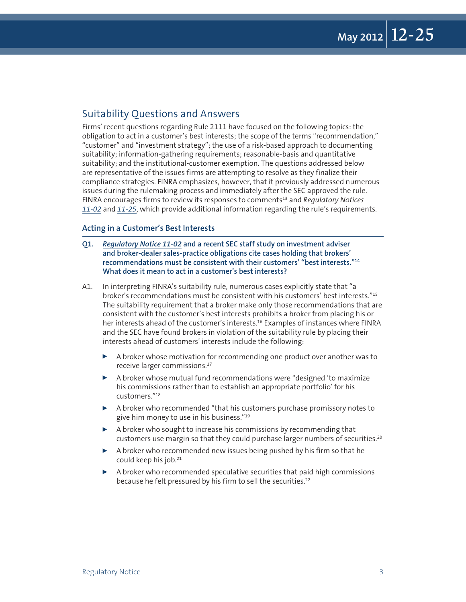#### Suitability Questions and Answers

Firms' recent questions regarding Rule 2111 have focused on the following topics: the obligation to act in a customer's best interests; the scope of the terms "recommendation," "customer" and "investment strategy"; the use of a risk-based approach to documenting suitability; information-gathering requirements; reasonable-basis and quantitative suitability; and the institutional-customer exemption. The questions addressed below are representative of the issues firms are attempting to resolve as they finalize their compliance strategies. FINRA emphasizes, however, that it previously addressed numerous issues during the rulemaking process and immediately after the SEC approved the rule. FINRA encourages firms to review its responses to comments<sup>13</sup> and *Requlatory Notices [11-02](http://www.finra.org/Industry/Regulation/Notices/2011/P122779)* and *[11-25](http://www.finra.org/Industry/Regulation/Notices/2011/P123702)*, which provide additional information regarding the rule's requirements.

#### **Acting in a Customer's Best Interests**

- **Q1.** *[Regulatory Notice 11-02](http://www.finra.org/Industry/Regulation/Notices/2011/P122779)* **and a recent SEC staff study on investment adviser and broker-dealer sales-practice obligations cite cases holding that brokers' recommendations must be consistent with their customers' "best interests."14 What does it mean to act in a customer's best interests?**
- A1. In interpreting FINRA's suitability rule, numerous cases explicitly state that "a broker's recommendations must be consistent with his customers' best interests."15 The suitability requirement that a broker make only those recommendations that are consistent with the customer's best interests prohibits a broker from placing his or her interests ahead of the customer's interests.<sup>16</sup> Examples of instances where FINRA and the SEC have found brokers in violation of the suitability rule by placing their interests ahead of customers' interests include the following:
	- $\blacktriangleright$  A broker whose motivation for recommending one product over another was to receive larger commissions.17
	- <sup>0</sup> A broker whose mutual fund recommendations were "designed 'to maximize his commissions rather than to establish an appropriate portfolio' for his customers."18
	- A broker who recommended "that his customers purchase promissory notes to give him money to use in his business."<sup>19</sup>
	- $\triangleright$  A broker who sought to increase his commissions by recommending that customers use margin so that they could purchase larger numbers of securities.<sup>20</sup>
	- A broker who recommended new issues being pushed by his firm so that he could keep his job.<sup>21</sup>
	- $\blacktriangleright$  A broker who recommended speculative securities that paid high commissions because he felt pressured by his firm to sell the securities.<sup>22</sup>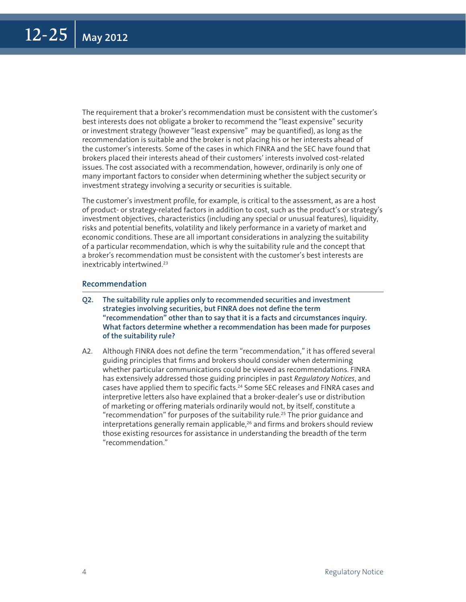The requirement that a broker's recommendation must be consistent with the customer's best interests does not obligate a broker to recommend the "least expensive" security or investment strategy (however "least expensive" may be quantified), as long as the recommendation is suitable and the broker is not placing his or her interests ahead of the customer's interests. Some of the cases in which FINRA and the SEC have found that brokers placed their interests ahead of their customers' interests involved cost-related issues. The cost associated with a recommendation, however, ordinarily is only one of many important factors to consider when determining whether the subject security or investment strategy involving a security or securities is suitable.

The customer's investment profile, for example, is critical to the assessment, as are a host of product- or strategy-related factors in addition to cost, such as the product's or strategy's investment objectives, characteristics (including any special or unusual features), liquidity, risks and potential benefits, volatility and likely performance in a variety of market and economic conditions. These are all important considerations in analyzing the suitability of a particular recommendation, which is why the suitability rule and the concept that a broker's recommendation must be consistent with the customer's best interests are inextricably intertwined.<sup>23</sup>

#### **Recommendation**

- **Q2. The suitability rule applies only to recommended securities and investment strategies involving securities, but FINRA does not define the term "recommendation" other than to say that it is a facts and circumstances inquiry. What factors determine whether a recommendation has been made for purposes of the suitability rule?**
- A2. Although FINRA does not define the term "recommendation," it has offered several guiding principles that firms and brokers should consider when determining whether particular communications could be viewed as recommendations. FINRA has extensively addressed those guiding principles in past *Regulatory Notices*, and cases have applied them to specific facts.<sup>24</sup> Some SEC releases and FINRA cases and interpretive letters also have explained that a broker-dealer's use or distribution of marketing or offering materials ordinarily would not, by itself, constitute a "recommendation" for purposes of the suitability rule.25 The prior guidance and interpretations generally remain applicable,<sup>26</sup> and firms and brokers should review those existing resources for assistance in understanding the breadth of the term "recommendation."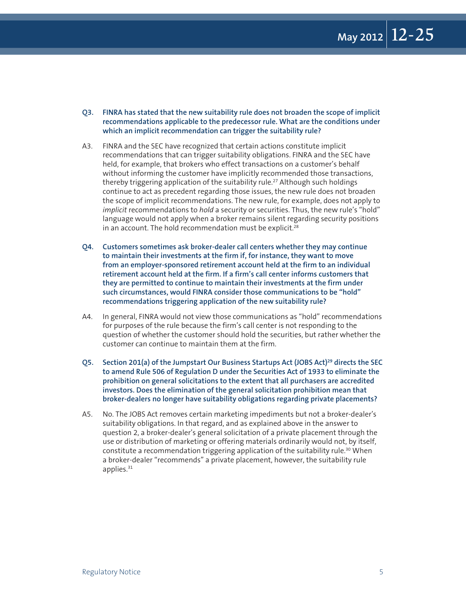- **Q3. FINRA has stated that the new suitability rule does not broaden the scope of implicit recommendations applicable to the predecessor rule. What are the conditions under which an implicit recommendation can trigger the suitability rule?**
- A3. FINRA and the SEC have recognized that certain actions constitute implicit recommendations that can trigger suitability obligations. FINRA and the SEC have held, for example, that brokers who effect transactions on a customer's behalf without informing the customer have implicitly recommended those transactions, thereby triggering application of the suitability rule.<sup>27</sup> Although such holdings continue to act as precedent regarding those issues, the new rule does not broaden the scope of implicit recommendations. The new rule, for example, does not apply to *implicit* recommendations to *hold* a security or securities. Thus, the new rule's "hold" language would not apply when a broker remains silent regarding security positions in an account. The hold recommendation must be explicit.<sup>28</sup>
- **Q4. Customers sometimes ask broker-dealer call centers whether they may continue to maintain their investments at the firm if, for instance, they want to move from an employer-sponsored retirement account held at the firm to an individual retirement account held at the firm. If a firm's call center informs customers that they are permitted to continue to maintain their investments at the firm under such circumstances, would FINRA consider those communications to be "hold" recommendations triggering application of the new suitability rule?**
- A4. In general, FINRA would not view those communications as "hold" recommendations for purposes of the rule because the firm's call center is not responding to the question of whether the customer should hold the securities, but rather whether the customer can continue to maintain them at the firm.
- **Q5. Section 201(a) of the Jumpstart Our Business Startups Act (JOBS Act)29 directs the SEC to amend Rule 506 of Regulation D under the Securities Act of 1933 to eliminate the prohibition on general solicitations to the extent that all purchasers are accredited investors. Does the elimination of the general solicitation prohibition mean that broker-dealers no longer have suitability obligations regarding private placements?**
- A5. No. The JOBS Act removes certain marketing impediments but not a broker-dealer's suitability obligations. In that regard, and as explained above in the answer to question 2, a broker-dealer's general solicitation of a private placement through the use or distribution of marketing or offering materials ordinarily would not, by itself, constitute a recommendation triggering application of the suitability rule.<sup>30</sup> When a broker-dealer "recommends" a private placement, however, the suitability rule applies.<sup>31</sup>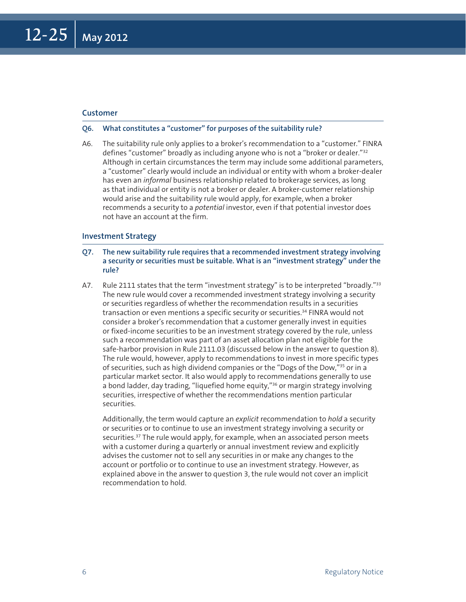#### **Customer**

#### **Q6. What constitutes a "customer" for purposes of the suitability rule?**

A6. The suitability rule only applies to a broker's recommendation to a "customer." FINRA defines "customer" broadly as including anyone who is not a "broker or dealer."32 Although in certain circumstances the term may include some additional parameters, a "customer" clearly would include an individual or entity with whom a broker-dealer has even an *informal* business relationship related to brokerage services, as long as that individual or entity is not a broker or dealer. A broker-customer relationship would arise and the suitability rule would apply, for example, when a broker recommends a security to a *potential* investor, even if that potential investor does not have an account at the firm.

#### **Investment Strategy**

- **Q7. The new suitability rule requires that a recommended investment strategy involving a security or securities must be suitable. What is an "investment strategy" under the rule?**
- A7. Rule 2111 states that the term "investment strategy" is to be interpreted "broadly."<sup>33</sup> The new rule would cover a recommended investment strategy involving a security or securities regardless of whether the recommendation results in a securities transaction or even mentions a specific security or securities.<sup>34</sup> FINRA would not consider a broker's recommendation that a customer generally invest in equities or fixed-income securities to be an investment strategy covered by the rule, unless such a recommendation was part of an asset allocation plan not eligible for the safe-harbor provision in Rule 2111.03 (discussed below in the answer to question 8). The rule would, however, apply to recommendations to invest in more specific types of securities, such as high dividend companies or the "Dogs of the Dow,"35 or in a particular market sector. It also would apply to recommendations generally to use a bond ladder, day trading, "liquefied home equity,"<sup>36</sup> or margin strategy involving securities, irrespective of whether the recommendations mention particular securities.

Additionally, the term would capture an *explicit* recommendation to *hold* a security or securities or to continue to use an investment strategy involving a security or securities.<sup>37</sup> The rule would apply, for example, when an associated person meets with a customer during a quarterly or annual investment review and explicitly advises the customer not to sell any securities in or make any changes to the account or portfolio or to continue to use an investment strategy. However, as explained above in the answer to question 3, the rule would not cover an implicit recommendation to hold.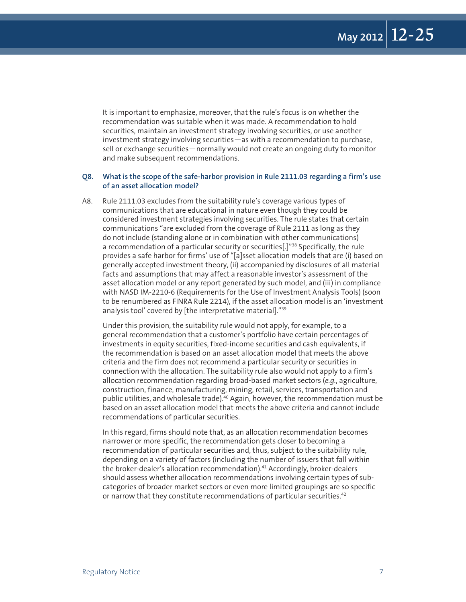It is important to emphasize, moreover, that the rule's focus is on whether the recommendation was suitable when it was made. A recommendation to hold securities, maintain an investment strategy involving securities, or use another investment strategy involving securities—as with a recommendation to purchase, sell or exchange securities—normally would not create an ongoing duty to monitor and make subsequent recommendations.

#### **Q8. What is the scope of the safe-harbor provision in Rule 2111.03 regarding a firm's use of an asset allocation model?**

A8. Rule 2111.03 excludes from the suitability rule's coverage various types of communications that are educational in nature even though they could be considered investment strategies involving securities. The rule states that certain communications "are excluded from the coverage of Rule 2111 as long as they do not include (standing alone or in combination with other communications) a recommendation of a particular security or securities[.]"<sup>38</sup> Specifically, the rule provides a safe harbor for firms' use of "[a]sset allocation models that are (i) based on generally accepted investment theory, (ii) accompanied by disclosures of all material facts and assumptions that may affect a reasonable investor's assessment of the asset allocation model or any report generated by such model, and (iii) in compliance with NASD IM-2210-6 (Requirements for the Use of Investment Analysis Tools) (soon to be renumbered as FINRA Rule 2214), if the asset allocation model is an 'investment analysis tool' covered by [the interpretative material]."39

Under this provision, the suitability rule would not apply, for example, to a general recommendation that a customer's portfolio have certain percentages of investments in equity securities, fixed-income securities and cash equivalents, if the recommendation is based on an asset allocation model that meets the above criteria and the firm does not recommend a particular security or securities in connection with the allocation. The suitability rule also would not apply to a firm's allocation recommendation regarding broad-based market sectors (*e.g.*, agriculture, construction, finance, manufacturing, mining, retail, services, transportation and public utilities, and wholesale trade).40 Again, however, the recommendation must be based on an asset allocation model that meets the above criteria and cannot include recommendations of particular securities.

In this regard, firms should note that, as an allocation recommendation becomes narrower or more specific, the recommendation gets closer to becoming a recommendation of particular securities and, thus, subject to the suitability rule, depending on a variety of factors (including the number of issuers that fall within the broker-dealer's allocation recommendation).<sup>41</sup> Accordingly, broker-dealers should assess whether allocation recommendations involving certain types of subcategories of broader market sectors or even more limited groupings are so specific or narrow that they constitute recommendations of particular securities.<sup>42</sup>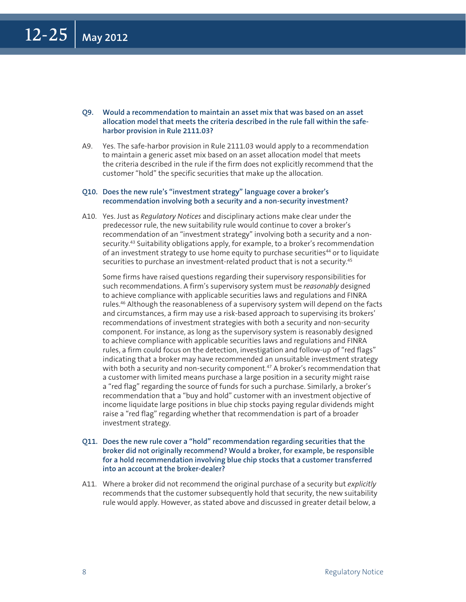- **Q9. Would a recommendation to maintain an asset mix that was based on an asset allocation model that meets the criteria described in the rule fall within the safeharbor provision in Rule 2111.03?**
- A9. Yes. The safe-harbor provision in Rule 2111.03 would apply to a recommendation to maintain a generic asset mix based on an asset allocation model that meets the criteria described in the rule if the firm does not explicitly recommend that the customer "hold" the specific securities that make up the allocation.

#### **Q10. Does the new rule's "investment strategy" language cover a broker's recommendation involving both a security and a non-security investment?**

A10. Yes. Just as *Regulatory Notices* and disciplinary actions make clear under the predecessor rule, the new suitability rule would continue to cover a broker's recommendation of an "investment strategy" involving both a security and a nonsecurity.43 Suitability obligations apply, for example, to a broker's recommendation of an investment strategy to use home equity to purchase securities<sup>44</sup> or to liquidate securities to purchase an investment-related product that is not a security.<sup>45</sup>

Some firms have raised questions regarding their supervisory responsibilities for such recommendations. A firm's supervisory system must be *reasonably* designed to achieve compliance with applicable securities laws and regulations and FINRA rules.46 Although the reasonableness of a supervisory system will depend on the facts and circumstances, a firm may use a risk-based approach to supervising its brokers' recommendations of investment strategies with both a security and non-security component. For instance, as long as the supervisory system is reasonably designed to achieve compliance with applicable securities laws and regulations and FINRA rules, a firm could focus on the detection, investigation and follow-up of "red flags" indicating that a broker may have recommended an unsuitable investment strategy with both a security and non-security component.<sup>47</sup> A broker's recommendation that a customer with limited means purchase a large position in a security might raise a "red flag" regarding the source of funds for such a purchase. Similarly, a broker's recommendation that a "buy and hold" customer with an investment objective of income liquidate large positions in blue chip stocks paying regular dividends might raise a "red flag" regarding whether that recommendation is part of a broader investment strategy.

- **Q11. Does the new rule cover a "hold" recommendation regarding securities that the broker did not originally recommend? Would a broker, for example, be responsible for a hold recommendation involving blue chip stocks that a customer transferred into an account at the broker-dealer?**
- A11. Where a broker did not recommend the original purchase of a security but *explicitly*  recommends that the customer subsequently hold that security, the new suitability rule would apply. However, as stated above and discussed in greater detail below, a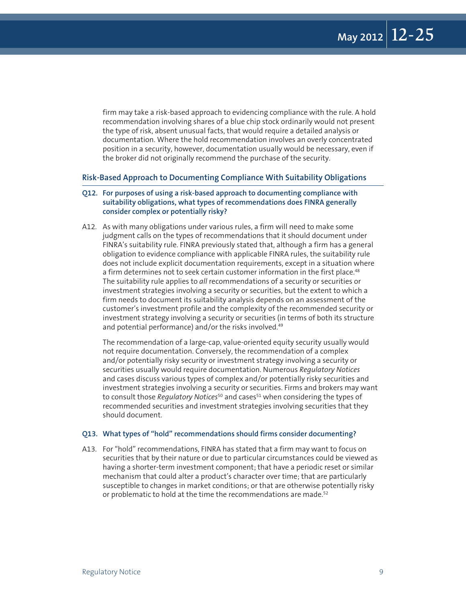firm may take a risk-based approach to evidencing compliance with the rule. A hold recommendation involving shares of a blue chip stock ordinarily would not present the type of risk, absent unusual facts, that would require a detailed analysis or documentation. Where the hold recommendation involves an overly concentrated position in a security, however, documentation usually would be necessary, even if the broker did not originally recommend the purchase of the security.

#### **Risk-Based Approach to Documenting Compliance With Suitability Obligations**

#### **Q12. For purposes of using a risk-based approach to documenting compliance with suitability obligations, what types of recommendations does FINRA generally consider complex or potentially risky?**

A12. As with many obligations under various rules, a firm will need to make some judgment calls on the types of recommendations that it should document under FINRA's suitability rule. FINRA previously stated that, although a firm has a general obligation to evidence compliance with applicable FINRA rules, the suitability rule does not include explicit documentation requirements, except in a situation where a firm determines not to seek certain customer information in the first place.<sup>48</sup> The suitability rule applies to *all* recommendations of a security or securities or investment strategies involving a security or securities, but the extent to which a firm needs to document its suitability analysis depends on an assessment of the customer's investment profile and the complexity of the recommended security or investment strategy involving a security or securities (in terms of both its structure and potential performance) and/or the risks involved.<sup>49</sup>

The recommendation of a large-cap, value-oriented equity security usually would not require documentation. Conversely, the recommendation of a complex and/or potentially risky security or investment strategy involving a security or securities usually would require documentation. Numerous *Regulatory Notices* and cases discuss various types of complex and/or potentially risky securities and investment strategies involving a security or securities. Firms and brokers may want to consult those *Regulatory Notices*<sup>50</sup> and cases<sup>51</sup> when considering the types of recommended securities and investment strategies involving securities that they should document.

#### **Q13. What types of "hold" recommendations should firms consider documenting?**

A13. For "hold" recommendations, FINRA has stated that a firm may want to focus on securities that by their nature or due to particular circumstances could be viewed as having a shorter-term investment component; that have a periodic reset or similar mechanism that could alter a product's character over time; that are particularly susceptible to changes in market conditions; or that are otherwise potentially risky or problematic to hold at the time the recommendations are made.<sup>52</sup>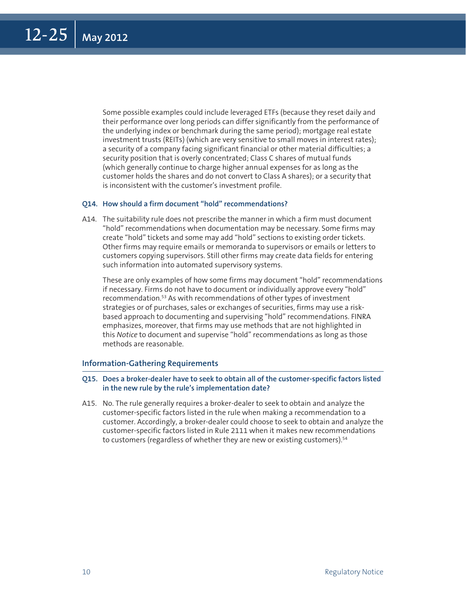Some possible examples could include leveraged ETFs (because they reset daily and their performance over long periods can differ significantly from the performance of the underlying index or benchmark during the same period); mortgage real estate investment trusts (REITs) (which are very sensitive to small moves in interest rates); a security of a company facing significant financial or other material difficulties; a security position that is overly concentrated; Class C shares of mutual funds (which generally continue to charge higher annual expenses for as long as the customer holds the shares and do not convert to Class A shares); or a security that is inconsistent with the customer's investment profile.

#### **Q14. How should a firm document "hold" recommendations?**

A14. The suitability rule does not prescribe the manner in which a firm must document "hold" recommendations when documentation may be necessary. Some firms may create "hold" tickets and some may add "hold" sections to existing order tickets. Other firms may require emails or memoranda to supervisors or emails or letters to customers copying supervisors. Still other firms may create data fields for entering such information into automated supervisory systems.

These are only examples of how some firms may document "hold" recommendations if necessary. Firms do not have to document or individually approve every "hold" recommendation.53 As with recommendations of other types of investment strategies or of purchases, sales or exchanges of securities, firms may use a riskbased approach to documenting and supervising "hold" recommendations. FINRA emphasizes, moreover, that firms may use methods that are not highlighted in this *Notice* to document and supervise "hold" recommendations as long as those methods are reasonable.

#### **Information-Gathering Requirements**

- **Q15. Does a broker-dealer have to seek to obtain all of the customer-specific factors listed in the new rule by the rule's implementation date?**
- A15. No. The rule generally requires a broker-dealer to seek to obtain and analyze the customer-specific factors listed in the rule when making a recommendation to a customer. Accordingly, a broker-dealer could choose to seek to obtain and analyze the customer-specific factors listed in Rule 2111 when it makes new recommendations to customers (regardless of whether they are new or existing customers).<sup>54</sup>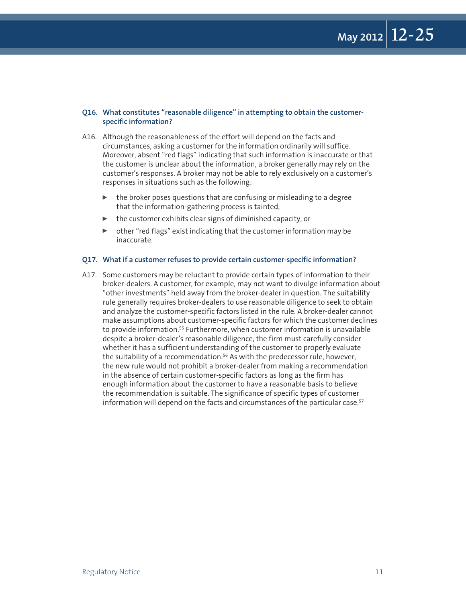#### **Q16. What constitutes "reasonable diligence" in attempting to obtain the customerspecific information?**

- A16. Although the reasonableness of the effort will depend on the facts and circumstances, asking a customer for the information ordinarily will suffice. Moreover, absent "red flags" indicating that such information is inaccurate or that the customer is unclear about the information, a broker generally may rely on the customer's responses. A broker may not be able to rely exclusively on a customer's responses in situations such as the following:
	- $\blacktriangleright$  the broker poses questions that are confusing or misleading to a degree that the information-gathering process is tainted,
	- <sup>0</sup> the customer exhibits clear signs of diminished capacity, or
	- <sup>0</sup> other "red flags" exist indicating that the customer information may be inaccurate.

#### **Q17. What if a customer refuses to provide certain customer-specific information?**

A17. Some customers may be reluctant to provide certain types of information to their broker-dealers. A customer, for example, may not want to divulge information about "other investments" held away from the broker-dealer in question. The suitability rule generally requires broker-dealers to use reasonable diligence to seek to obtain and analyze the customer-specific factors listed in the rule. A broker-dealer cannot make assumptions about customer-specific factors for which the customer declines to provide information.<sup>55</sup> Furthermore, when customer information is unavailable despite a broker-dealer's reasonable diligence, the firm must carefully consider whether it has a sufficient understanding of the customer to properly evaluate the suitability of a recommendation.<sup>56</sup> As with the predecessor rule, however, the new rule would not prohibit a broker-dealer from making a recommendation in the absence of certain customer-specific factors as long as the firm has enough information about the customer to have a reasonable basis to believe the recommendation is suitable. The significance of specific types of customer information will depend on the facts and circumstances of the particular case.<sup>57</sup>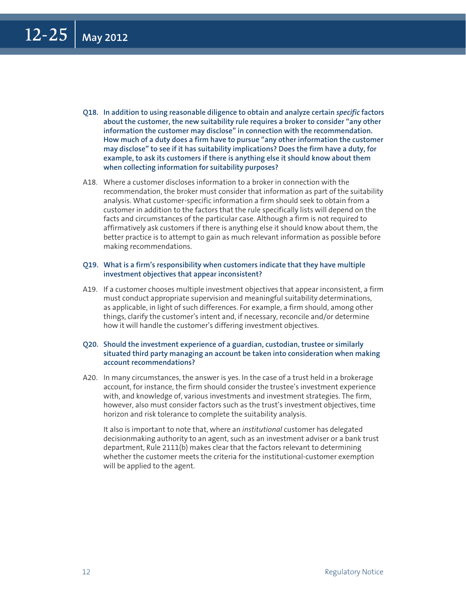- **Q18. In addition to using reasonable diligence to obtain and analyze certain** *specific* **factors about the customer, the new suitability rule requires a broker to consider "any other information the customer may disclose" in connection with the recommendation. How much of a duty does a firm have to pursue "any other information the customer may disclose" to see if it has suitability implications? Does the firm have a duty, for example, to ask its customers if there is anything else it should know about them when collecting information for suitability purposes?**
- A18. Where a customer discloses information to a broker in connection with the recommendation, the broker must consider that information as part of the suitability analysis. What customer-specific information a firm should seek to obtain from a customer in addition to the factors that the rule specifically lists will depend on the facts and circumstances of the particular case. Although a firm is not required to affirmatively ask customers if there is anything else it should know about them, the better practice is to attempt to gain as much relevant information as possible before making recommendations.

#### **Q19. What is a firm's responsibility when customers indicate that they have multiple investment objectives that appear inconsistent?**

A19. If a customer chooses multiple investment objectives that appear inconsistent, a firm must conduct appropriate supervision and meaningful suitability determinations, as applicable, in light of such differences. For example, a firm should, among other things, clarify the customer's intent and, if necessary, reconcile and/or determine how it will handle the customer's differing investment objectives.

#### **Q20. Should the investment experience of a guardian, custodian, trustee or similarly situated third party managing an account be taken into consideration when making account recommendations?**

A20. In many circumstances, the answer is yes. In the case of a trust held in a brokerage account, for instance, the firm should consider the trustee's investment experience with, and knowledge of, various investments and investment strategies. The firm, however, also must consider factors such as the trust's investment objectives, time horizon and risk tolerance to complete the suitability analysis.

It also is important to note that, where an *institutional* customer has delegated decisionmaking authority to an agent, such as an investment adviser or a bank trust department, Rule 2111(b) makes clear that the factors relevant to determining whether the customer meets the criteria for the institutional-customer exemption will be applied to the agent.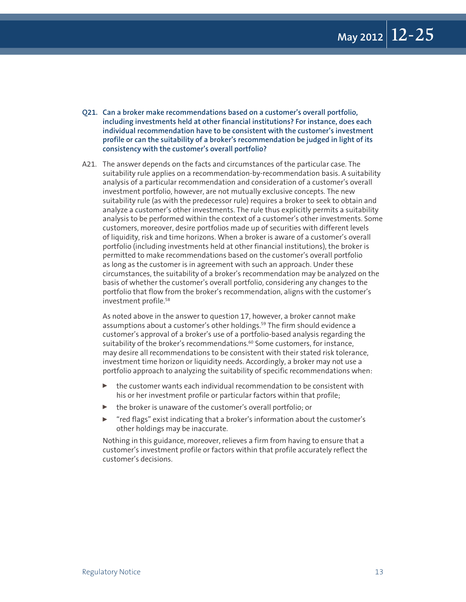- **Q21. Can a broker make recommendations based on a customer's overall portfolio, including investments held at other financial institutions? For instance, does each individual recommendation have to be consistent with the customer's investment profile or can the suitability of a broker's recommendation be judged in light of its consistency with the customer's overall portfolio?**
- A21. The answer depends on the facts and circumstances of the particular case. The suitability rule applies on a recommendation-by-recommendation basis. A suitability analysis of a particular recommendation and consideration of a customer's overall investment portfolio, however, are not mutually exclusive concepts. The new suitability rule (as with the predecessor rule) requires a broker to seek to obtain and analyze a customer's other investments. The rule thus explicitly permits a suitability analysis to be performed within the context of a customer's other investments. Some customers, moreover, desire portfolios made up of securities with different levels of liquidity, risk and time horizons. When a broker is aware of a customer's overall portfolio (including investments held at other financial institutions), the broker is permitted to make recommendations based on the customer's overall portfolio as long as the customer is in agreement with such an approach. Under these circumstances, the suitability of a broker's recommendation may be analyzed on the basis of whether the customer's overall portfolio, considering any changes to the portfolio that flow from the broker's recommendation, aligns with the customer's investment profile.58

As noted above in the answer to question 17, however, a broker cannot make assumptions about a customer's other holdings.<sup>59</sup> The firm should evidence a customer's approval of a broker's use of a portfolio-based analysis regarding the suitability of the broker's recommendations.<sup>60</sup> Some customers, for instance, may desire all recommendations to be consistent with their stated risk tolerance, investment time horizon or liquidity needs. Accordingly, a broker may not use a portfolio approach to analyzing the suitability of specific recommendations when:

- <sup>0</sup> the customer wants each individual recommendation to be consistent with his or her investment profile or particular factors within that profile;
- the broker is unaware of the customer's overall portfolio; or
- "red flags" exist indicating that a broker's information about the customer's other holdings may be inaccurate.

Nothing in this guidance, moreover, relieves a firm from having to ensure that a customer's investment profile or factors within that profile accurately reflect the customer's decisions.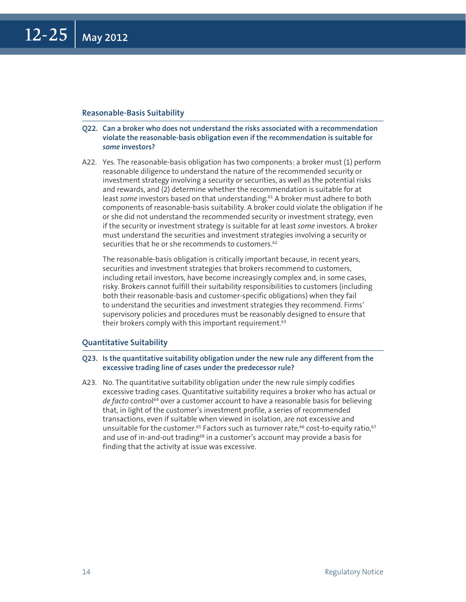#### **Reasonable-Basis Suitability**

- **Q22. Can a broker who does not understand the risks associated with a recommendation violate the reasonable-basis obligation even if the recommendation is suitable for**  *some* **investors?**
- A22. Yes. The reasonable-basis obligation has two components: a broker must (1) perform reasonable diligence to understand the nature of the recommended security or investment strategy involving a security or securities, as well as the potential risks and rewards, and (2) determine whether the recommendation is suitable for at least *some* investors based on that understanding.61 A broker must adhere to both components of reasonable-basis suitability. A broker could violate the obligation if he or she did not understand the recommended security or investment strategy, even if the security or investment strategy is suitable for at least *some* investors. A broker must understand the securities and investment strategies involving a security or securities that he or she recommends to customers.<sup>62</sup>

The reasonable-basis obligation is critically important because, in recent years, securities and investment strategies that brokers recommend to customers, including retail investors, have become increasingly complex and, in some cases, risky. Brokers cannot fulfill their suitability responsibilities to customers (including both their reasonable-basis and customer-specific obligations) when they fail to understand the securities and investment strategies they recommend. Firms' supervisory policies and procedures must be reasonably designed to ensure that their brokers comply with this important requirement.<sup>63</sup>

#### **Quantitative Suitability**

#### **Q23. Is the quantitative suitability obligation under the new rule any different from the excessive trading line of cases under the predecessor rule?**

A23. No. The quantitative suitability obligation under the new rule simply codifies excessive trading cases. Quantitative suitability requires a broker who has actual or de facto control<sup>64</sup> over a customer account to have a reasonable basis for believing that, in light of the customer's investment profile, a series of recommended transactions, even if suitable when viewed in isolation, are not excessive and unsuitable for the customer.<sup>65</sup> Factors such as turnover rate,<sup>66</sup> cost-to-equity ratio,<sup>67</sup> and use of in-and-out trading<sup>68</sup> in a customer's account may provide a basis for finding that the activity at issue was excessive.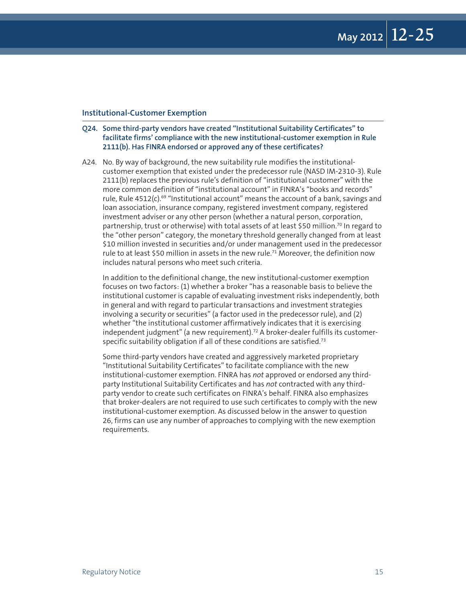#### **Institutional-Customer Exemption**

- **Q24. Some third-party vendors have created "Institutional Suitability Certificates" to facilitate firms' compliance with the new institutional-customer exemption in Rule 2111(b). Has FINRA endorsed or approved any of these certificates?**
- A24. No. By way of background, the new suitability rule modifies the institutionalcustomer exemption that existed under the predecessor rule (NASD IM-2310-3). Rule 2111(b) replaces the previous rule's definition of "institutional customer" with the more common definition of "institutional account" in FINRA's "books and records" rule, Rule  $4512(c)$ .<sup>69</sup> "Institutional account" means the account of a bank, savings and loan association, insurance company, registered investment company, registered investment adviser or any other person (whether a natural person, corporation, partnership, trust or otherwise) with total assets of at least \$50 million.<sup>70</sup> In regard to the "other person" category, the monetary threshold generally changed from at least \$10 million invested in securities and/or under management used in the predecessor rule to at least \$50 million in assets in the new rule.<sup>71</sup> Moreover, the definition now includes natural persons who meet such criteria.

In addition to the definitional change, the new institutional-customer exemption focuses on two factors: (1) whether a broker "has a reasonable basis to believe the institutional customer is capable of evaluating investment risks independently, both in general and with regard to particular transactions and investment strategies involving a security or securities" (a factor used in the predecessor rule), and (2) whether "the institutional customer affirmatively indicates that it is exercising independent judgment" (a new requirement).72 A broker-dealer fulfills its customerspecific suitability obligation if all of these conditions are satisfied.73

Some third-party vendors have created and aggressively marketed proprietary "Institutional Suitability Certificates" to facilitate compliance with the new institutional-customer exemption. FINRA has *not* approved or endorsed any thirdparty Institutional Suitability Certificates and has *not* contracted with any thirdparty vendor to create such certificates on FINRA's behalf. FINRA also emphasizes that broker-dealers are not required to use such certificates to comply with the new institutional-customer exemption. As discussed below in the answer to question 26, firms can use any number of approaches to complying with the new exemption requirements.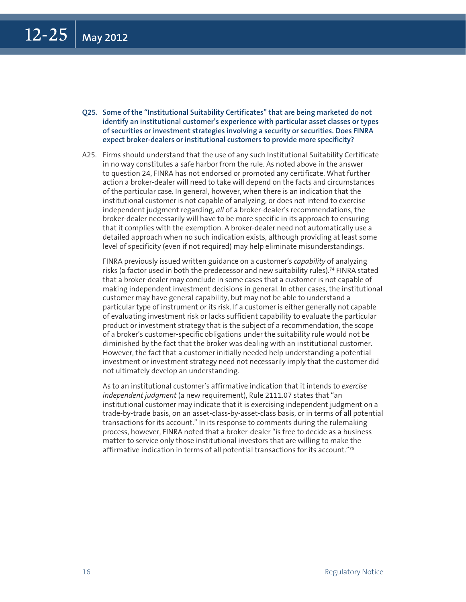- **Q25. Some of the "Institutional Suitability Certificates" that are being marketed do not identify an institutional customer's experience with particular asset classes or types of securities or investment strategies involving a security or securities. Does FINRA expect broker-dealers or institutional customers to provide more specificity?**
- A25. Firms should understand that the use of any such Institutional Suitability Certificate in no way constitutes a safe harbor from the rule. As noted above in the answer to question 24, FINRA has not endorsed or promoted any certificate. What further action a broker-dealer will need to take will depend on the facts and circumstances of the particular case. In general, however, when there is an indication that the institutional customer is not capable of analyzing, or does not intend to exercise independent judgment regarding, *all* of a broker-dealer's recommendations, the broker-dealer necessarily will have to be more specific in its approach to ensuring that it complies with the exemption. A broker-dealer need not automatically use a detailed approach when no such indication exists, although providing at least some level of specificity (even if not required) may help eliminate misunderstandings.

FINRA previously issued written guidance on a customer's *capability* of analyzing risks (a factor used in both the predecessor and new suitability rules).<sup>74</sup> FINRA stated that a broker-dealer may conclude in some cases that a customer is not capable of making independent investment decisions in general. In other cases, the institutional customer may have general capability, but may not be able to understand a particular type of instrument or its risk. If a customer is either generally not capable of evaluating investment risk or lacks sufficient capability to evaluate the particular product or investment strategy that is the subject of a recommendation, the scope of a broker's customer-specific obligations under the suitability rule would not be diminished by the fact that the broker was dealing with an institutional customer. However, the fact that a customer initially needed help understanding a potential investment or investment strategy need not necessarily imply that the customer did not ultimately develop an understanding.

As to an institutional customer's affirmative indication that it intends to *exercise independent judgment* (a new requirement), Rule 2111.07 states that "an institutional customer may indicate that it is exercising independent judgment on a trade-by-trade basis, on an asset-class-by-asset-class basis, or in terms of all potential transactions for its account." In its response to comments during the rulemaking process, however, FINRA noted that a broker-dealer "is free to decide as a business matter to service only those institutional investors that are willing to make the affirmative indication in terms of all potential transactions for its account."75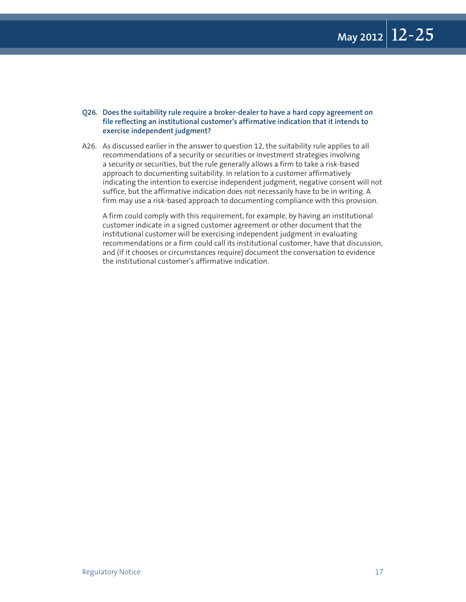- **Q26. Does the suitability rule require a broker-dealer to have a hard copy agreement on file reflecting an institutional customer's affirmative indication that it intends to exercise independent judgment?**
- A26. As discussed earlier in the answer to question 12, the suitability rule applies to all recommendations of a security or securities or investment strategies involving a security or securities, but the rule generally allows a firm to take a risk-based approach to documenting suitability. In relation to a customer affirmatively indicating the intention to exercise independent judgment, negative consent will not suffice, but the affirmative indication does not necessarily have to be in writing. A firm may use a risk-based approach to documenting compliance with this provision.

A firm could comply with this requirement, for example, by having an institutional customer indicate in a signed customer agreement or other document that the institutional customer will be exercising independent judgment in evaluating recommendations or a firm could call its institutional customer, have that discussion, and (if it chooses or circumstances require) document the conversation to evidence the institutional customer's affirmative indication.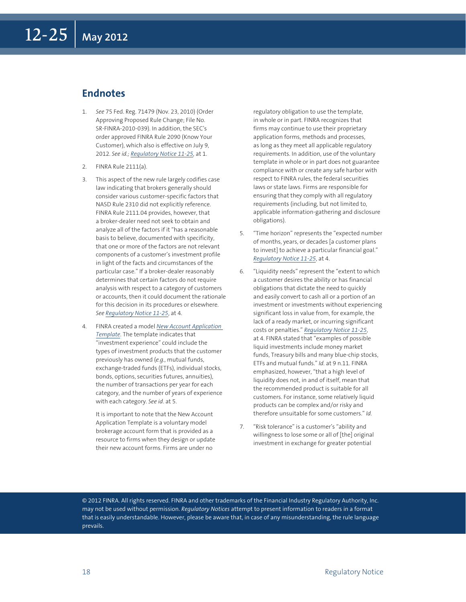#### **Endnotes**

- 1. *See* 75 Fed. Reg. 71479 (Nov. 23, 2010) (Order Approving Proposed Rule Change; File No. SR-FINRA-2010-039). In addition, the SEC's order approved FINRA Rule 2090 (Know Your Customer), which also is effective on July 9, 2012. *See id.; [Regulatory Notice 11-25](http://www.finra.org/Industry/Regulation/Notices/2011/P123702),* at 1.
- 2. FINRA Rule 2111(a).
- 3. This aspect of the new rule largely codifies case law indicating that brokers generally should consider various customer-specific factors that NASD Rule 2310 did not explicitly reference. FINRA Rule 2111.04 provides, however, that a broker-dealer need not seek to obtain and analyze all of the factors if it "has a reasonable basis to believe, documented with specificity, that one or more of the factors are not relevant components of a customer's investment profile in light of the facts and circumstances of the particular case." If a broker-dealer reasonably determines that certain factors do not require analysis with respect to a category of customers or accounts, then it could document the rationale for this decision in its procedures or elsewhere. *See [Regulatory Notice 11-25](http://www.finra.org/Industry/Regulation/Notices/2011/P123702)*, at 4.
- 4. FINRA created a model *[New Account Application](http://www.finra.org/industry/tools/p117268)  [Template](http://www.finra.org/industry/tools/p117268)*. The template indicates that "investment experience" could include the types of investment products that the customer previously has owned (*e.g.*, mutual funds, exchange-traded funds (ETFs), individual stocks, bonds, options, securities futures, annuities), the number of transactions per year for each category, and the number of years of experience with each category. *See id*. at 5.

 It is important to note that the New Account Application Template is a voluntary model brokerage account form that is provided as a resource to firms when they design or update their new account forms. Firms are under no

regulatory obligation to use the template, in whole or in part. FINRA recognizes that firms may continue to use their proprietary application forms, methods and processes, as long as they meet all applicable regulatory requirements. In addition, use of the voluntary template in whole or in part does not guarantee compliance with or create any safe harbor with respect to FINRA rules, the federal securities laws or state laws. Firms are responsible for ensuring that they comply with all regulatory requirements (including, but not limited to, applicable information-gathering and disclosure obligations).

- 5. "Time horizon" represents the "expected number of months, years, or decades [a customer plans to invest] to achieve a particular financial goal." *[Regulatory Notice 11-25](http://www.finra.org/Industry/Regulation/Notices/2011/P123702)*, at 4.
- 6. "Liquidity needs" represent the "extent to which a customer desires the ability or has financial obligations that dictate the need to quickly and easily convert to cash all or a portion of an investment or investments without experiencing significant loss in value from, for example, the lack of a ready market, or incurring significant costs or penalties." *[Regulatory Notice 11-25](http://www.finra.org/Industry/Regulation/Notices/2011/P123702)*, at 4. FINRA stated that "examples of possible liquid investments include money market funds, Treasury bills and many blue-chip stocks, ETFs and mutual funds." *Id.* at 9 n.11. FINRA emphasized, however, "that a high level of liquidity does not, in and of itself, mean that the recommended product is suitable for all customers. For instance, some relatively liquid products can be complex and/or risky and therefore unsuitable for some customers." *Id.*
- 7. "Risk tolerance" is a customer's "ability and willingness to lose some or all of [the] original investment in exchange for greater potential

© 2012 FINRA. All rights reserved. FINRA and other trademarks of the Financial Industry Regulatory Authority, Inc. may not be used without permission. *Regulatory Notices* attempt to present information to readers in a format that is easily understandable. However, please be aware that, in case of any misunderstanding, the rule language prevails.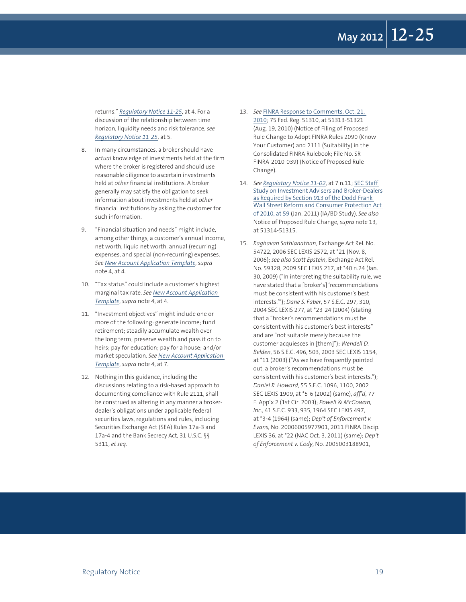returns." *[Regulatory Notice 11-25](http://www.finra.org/Industry/Regulation/Notices/2011/P123702)*, at 4. For a discussion of the relationship between time horizon, liquidity needs and risk tolerance, *see [Regulatory Notice 11-25](http://www.finra.org/Industry/Regulation/Notices/2011/P123702)*, at 5.

- In many circumstances, a broker should have *actual* knowledge of investments held at the firm where the broker is registered and should use reasonable diligence to ascertain investments held at *other* financial institutions. A broker generally may satisfy the obligation to seek information about investments held at *other*  financial institutions by asking the customer for such information.
- 9. "Financial situation and needs" might include, among other things, a customer's annual income, net worth, liquid net worth, annual (recurring) expenses, and special (non-recurring) expenses. *See [New Account Application Template](http://www.finra.org/industry/tools/p117268)*, *supra*  note 4, at 4.
- 10. "Tax status" could include a customer's highest marginal tax rate. *See [New Account Application](http://www.finra.org/industry/tools/p117268)  [Template](http://www.finra.org/industry/tools/p117268)*, *supra* note 4, at 4.
- 11. "Investment objectives" might include one or more of the following: generate income; fund retirement; steadily accumulate wealth over the long term; preserve wealth and pass it on to heirs; pay for education; pay for a house; and/or market speculation. *See [New Account Application](http://www.finra.org/industry/tools/p117268)  [Template](http://www.finra.org/industry/tools/p117268)*, *supra* note 4, at 7.
- 12. Nothing in this guidance, including the discussions relating to a risk-based approach to documenting compliance with Rule 2111, shall be construed as altering in any manner a brokerdealer's obligations under applicable federal securities laws, regulations and rules, including Securities Exchange Act (SEA) Rules 17a-3 and 17a-4 and the Bank Secrecy Act, 31 U.S.C. §§ 5311, *et seq.*
- 13. *See* FINRA Response to [Comments,](http://www.sec.gov/comments/sr-finra-2010-039/finra2010039-23.pdf) Oct. 21, [2010;](http://www.sec.gov/comments/sr-finra-2010-039/finra2010039-23.pdf) 75 Fed. Reg. 51310, at 51313-51321 (Aug. 19, 2010) (Notice of Filing of Proposed Rule Change to Adopt FINRA Rules 2090 (Know Your Customer) and 2111 (Suitability) in the Consolidated FINRA Rulebook; File No. SR-FINRA-2010-039) (Notice of Proposed Rule Change).
- 14. *See [Regulatory Notice 11-02](http://www.finra.org/Industry/Regulation/Notices/2011/P122779)*, at 7 n.11; SEC [Staff](http://www.sec.gov/news/studies/2011/913studyfinal.pdf) Study on Investment Advisers and [Broker-Dealers](http://www.sec.gov/news/studies/2011/913studyfinal.pdf) as Required by Section 913 of the [Dodd-Frank](http://www.sec.gov/news/studies/2011/913studyfinal.pdf) Wall Street Reform and Consumer [Protection](http://www.sec.gov/news/studies/2011/913studyfinal.pdf) Act of [2010,](http://www.sec.gov/news/studies/2011/913studyfinal.pdf) at 59 (Jan. 2011) (IA/BD Study). *See also*  Notice of Proposed Rule Change, *supra* note 13, at 51314-51315.
- 15. *Raghavan Sathianathan*, Exchange Act Rel. No. 54722, 2006 SEC LEXIS 2572, at \*21 (Nov. 8, 2006); *see also Scott Epstein*, Exchange Act Rel. No. 59328, 2009 SEC LEXIS 217, at \*40 n.24 (Jan. 30, 2009) ("In interpreting the suitability rule, we have stated that a [broker's] 'recommendations must be consistent with his customer's best interests.'"); *Dane S. Faber*, 57 S.E.C. 297, 310, 2004 SEC LEXIS 277, at \*23-24 (2004) (stating that a "broker's recommendations must be consistent with his customer's best interests" and are "not suitable merely because the customer acquiesces in [them]"); *Wendell D. Belden*, 56 S.E.C. 496, 503, 2003 SEC LEXIS 1154, at \*11 (2003) ("As we have frequently pointed out, a broker's recommendations must be consistent with his customer's best interests."); *Daniel R. Howard*, 55 S.E.C. 1096, 1100, 2002 SEC LEXIS 1909, at \*5-6 (2002) (same), *aff'd*, 77 F. App'x 2 (1st Cir. 2003); *Powell & McGowan, Inc.,* 41 S.E.C. 933, 935, 1964 SEC LEXIS 497, at \*3-4 (1964) (same); *Dep't of Enforcement v. Evans,* No. 20006005977901, 2011 FINRA Discip. LEXIS 36, at \*22 (NAC Oct. 3, 2011) (same); *Dep't of Enforcement v. Cody*, No. 2005003188901,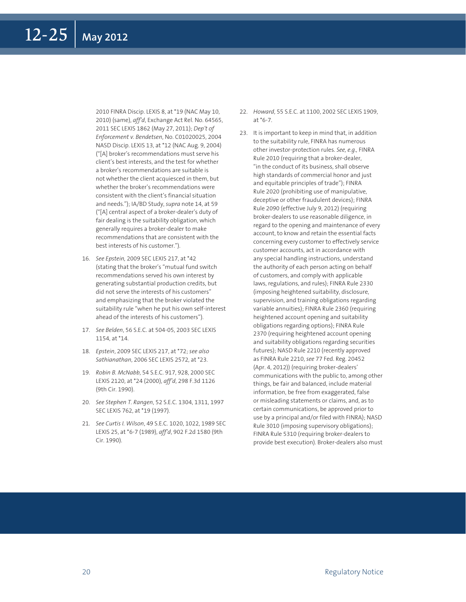2010 FINRA Discip. LEXIS 8, at \*19 (NAC May 10, 2010) (same), *aff'd*, Exchange Act Rel. No. 64565, 2011 SEC LEXIS 1862 (May 27, 2011); *Dep't of Enforcement v. Bendetsen*, No. C01020025, 2004 NASD Discip. LEXIS 13, at \*12 (NAC Aug. 9, 2004) ("[A] broker's recommendations must serve his client's best interests, and the test for whether a broker's recommendations are suitable is not whether the client acquiesced in them, but whether the broker's recommendations were consistent with the client's financial situation and needs."); IA/BD Study, *supra* note 14, at 59 ("[A] central aspect of a broker-dealer's duty of fair dealing is the suitability obligation, which generally requires a broker-dealer to make recommendations that are consistent with the best interests of his customer.").

- 16. *See Epstein,* 2009 SEC LEXIS 217, at \*42 (stating that the broker's "mutual fund switch recommendations served his own interest by generating substantial production credits, but did not serve the interests of his customers" and emphasizing that the broker violated the suitability rule "when he put his own self-interest ahead of the interests of his customers").
- 17. *See Belden*, 56 S.E.C. at 504-05, 2003 SEC LEXIS 1154, at \*14.
- 18. *Epstein*, 2009 SEC LEXIS 217, at \*72; *see also Sathianathan*, 2006 SEC LEXIS 2572, at \*23.
- 19. *Robin B. McNabb*, 54 S.E.C. 917, 928, 2000 SEC LEXIS 2120, at \*24 (2000), *aff'd*, 298 F.3d 1126 (9th Cir. 1990).
- 20. *See Stephen T. Rangen*, 52 S.E.C. 1304, 1311, 1997 SEC LEXIS 762, at \*19 (1997).
- 21. *See Curtis I. Wilson*, 49 S.E.C. 1020, 1022, 1989 SEC LEXIS 25, at \*6-7 (1989), *aff'd*, 902 F.2d 1580 (9th Cir. 1990).
- 22. *Howard*, 55 S.E.C. at 1100, 2002 SEC LEXIS 1909, at \*6-7.
- 23. It is important to keep in mind that, in addition to the suitability rule, FINRA has numerous other investor-protection rules. *See, e.g.,* FINRA Rule 2010 (requiring that a broker-dealer, "in the conduct of its business, shall observe high standards of commercial honor and just and equitable principles of trade"); FINRA Rule 2020 (prohibiting use of manipulative, deceptive or other fraudulent devices); FINRA Rule 2090 (effective July 9, 2012) (requiring broker-dealers to use reasonable diligence, in regard to the opening and maintenance of every account, to know and retain the essential facts concerning every customer to effectively service customer accounts, act in accordance with any special handling instructions, understand the authority of each person acting on behalf of customers, and comply with applicable laws, regulations, and rules); FINRA Rule 2330 (imposing heightened suitability, disclosure, supervision, and training obligations regarding variable annuities); FINRA Rule 2360 (requiring heightened account opening and suitability obligations regarding options); FINRA Rule 2370 (requiring heightened account opening and suitability obligations regarding securities futures); NASD Rule 2210 (recently approved as FINRA Rule 2210, *see* 77 Fed. Reg. 20452 (Apr. 4, 2012)) (requiring broker-dealers' communications with the public to, among other things, be fair and balanced, include material information, be free from exaggerated, false or misleading statements or claims, and, as to certain communications, be approved prior to use by a principal and/or filed with FINRA); NASD Rule 3010 (imposing supervisory obligations); FINRA Rule 5310 (requiring broker-dealers to provide best execution). Broker-dealers also must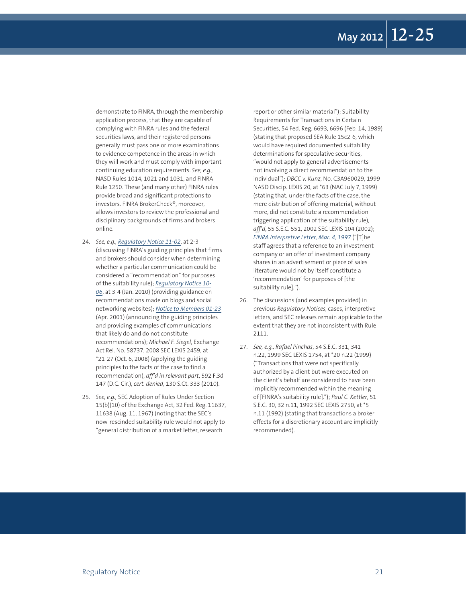demonstrate to FINRA, through the membership application process, that they are capable of complying with FINRA rules and the federal securities laws, and their registered persons generally must pass one or more examinations to evidence competence in the areas in which they will work and must comply with important continuing education requirements. *See, e.g.,*  NASD Rules 1014, 1021 and 1031, and FINRA Rule 1250. These (and many other) FINRA rules provide broad and significant protections to investors. FINRA BrokerCheck®, moreover, allows investors to review the professional and disciplinary backgrounds of firms and brokers online.

- 24. *See, e.g., [Regulatory Notice 11-02](http://www.finra.org/Industry/Regulation/Notices/2011/P122779)*, at 2-3 (discussing FINRA's guiding principles that firms and brokers should consider when determining whether a particular communication could be considered a "recommendation" for purposes of the suitability rule); *[Regulatory Notice 10-](http://www.finra.org/Industry/Regulation/Notices/2010/P120760) [06](http://www.finra.org/Industry/Regulation/Notices/2010/P120760)*, at 3-4 (Jan. 2010) (providing guidance on recommendations made on blogs and social networking websites); *[Notice to Members 01-23](http://www.finra.org/Industry/Regulation/Notices/2001/P003886)* (Apr. 2001) (announcing the guiding principles and providing examples of communications that likely do and do not constitute recommendations); *Michael F. Siegel*, Exchange Act Rel. No. 58737, 2008 SEC LEXIS 2459, at \*21-27 (Oct. 6, 2008) (applying the guiding principles to the facts of the case to find a recommendation), *aff'd in relevant part*, 592 F.3d 147 (D.C. Cir.), *cert. denied*, 130 S.Ct. 333 (2010).
- 25. *See, e.g.,* SEC Adoption of Rules Under Section 15(b)(10) of the Exchange Act, 32 Fed. Reg. 11637, 11638 (Aug. 11, 1967) (noting that the SEC's now-rescinded suitability rule would not apply to "general distribution of a market letter, research

report or other similar material"); Suitability Requirements for Transactions in Certain Securities, 54 Fed. Reg. 6693, 6696 (Feb. 14, 1989) (stating that proposed SEA Rule 15c2-6, which would have required documented suitability determinations for speculative securities, "would not apply to general advertisements not involving a direct recommendation to the individual"); *DBCC v. Kunz*, No. C3A960029, 1999 NASD Discip. LEXIS 20, at \*63 (NAC July 7, 1999) (stating that, under the facts of the case, the mere distribution of offering material, without more, did not constitute a recommendation triggering application of the suitability rule), *aff'd*, 55 S.E.C. 551, 2002 SEC LEXIS 104 (2002); *[FINRA Interpretive Letter, Mar. 4, 1997](http://www.finra.org/Industry/Regulation/Guidance/InterpretiveLetters/P002566)* ("[T]he staff agrees that a reference to an investment company or an offer of investment company shares in an advertisement or piece of sales literature would not by itself constitute a 'recommendation' for purposes of [the suitability rule].").

- 26. The discussions (and examples provided) in previous *Regulatory Notices*, cases, interpretive letters, and SEC releases remain applicable to the extent that they are not inconsistent with Rule 2111.
- 27. *See, e.g., Rafael Pinchas*, 54 S.E.C. 331, 341 n.22, 1999 SEC LEXIS 1754, at \*20 n.22 (1999) ("Transactions that were not specifically authorized by a client but were executed on the client's behalf are considered to have been implicitly recommended within the meaning of [FINRA's suitability rule]."); *Paul C. Kettler*, 51 S.E.C. 30, 32 n.11, 1992 SEC LEXIS 2750, at \*5 n.11 (1992) (stating that transactions a broker effects for a discretionary account are implicitly recommended).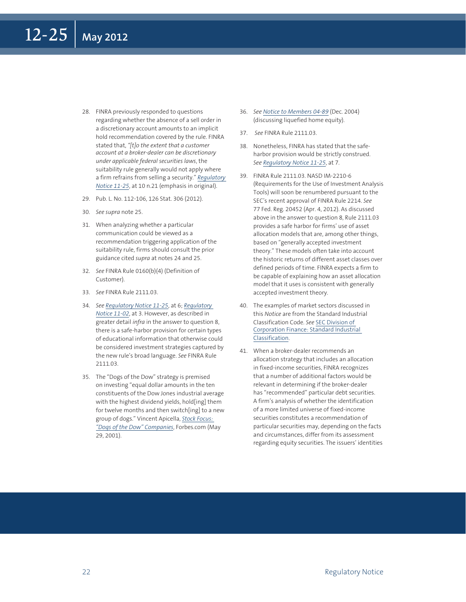- 28. FINRA previously responded to questions regarding whether the absence of a sell order in a discretionary account amounts to an implicit hold recommendation covered by the rule. FINRA stated that, *"[t]o the extent that a customer account at a broker-dealer can be discretionary under applicable federal securities laws*, the suitability rule generally would not apply where a firm refrains from selling a security." *[Regulatory](http://www.finra.org/Industry/Regulation/Notices/2011/P123702)  [Notice 11-25](http://www.finra.org/Industry/Regulation/Notices/2011/P123702)*, at 10 n.21 (emphasis in original).
- 29. Pub. L. No. 112-106, 126 Stat. 306 (2012).
- 30. *See supra* note 25.
- 31. When analyzing whether a particular communication could be viewed as a recommendation triggering application of the suitability rule, firms should consult the prior guidance cited *supra* at notes 24 and 25.
- 32. *See* FINRA Rule 0160(b)(4) (Definition of Customer).
- 33. *See* FINRA Rule 2111.03.
- 34. *See [Regulatory Notice 11-25](http://www.finra.org/Industry/Regulation/Notices/2011/P123702)*, at 6; *[Regulatory](http://www.finra.org/Industry/Regulation/Notices/2011/P122779)  [Notice 11-02](http://www.finra.org/Industry/Regulation/Notices/2011/P122779)*, at 3. However, as described in greater detail *infra* in the answer to question 8, there is a safe-harbor provision for certain types of educational information that otherwise could be considered investment strategies captured by the new rule's broad language. *See* FINRA Rule 2111.03.
- 35. The "Dogs of the Dow" strategy is premised on investing "equal dollar amounts in the ten constituents of the Dow Jones industrial average with the highest dividend yields, hold[ing] them for twelve months and then switch[ing] to a new group of dogs." Vincent Apicella, *[Stock Focus:](http://www.forbes.com/2001/05/29/0529sf.html)  ["Dogs of the Dow" Companies](http://www.forbes.com/2001/05/29/0529sf.html)*, Forbes.com (May 29, 2001).
- 36. *See [Notice to Members 04-89](http://www.finra.org/Industry/Regulation/Notices/2004/P012715)* (Dec. 2004) (discussing liquefied home equity).
- 37. *See* FINRA Rule 2111.03.
- 38. Nonetheless, FINRA has stated that the safeharbor provision would be strictly construed. *See [Regulatory Notice 11-25](http://www.finra.org/Industry/Regulation/Notices/2011/P123702)*, at 7.
- 39. FINRA Rule 2111.03. NASD IM-2210-6 (Requirements for the Use of Investment Analysis Tools) will soon be renumbered pursuant to the SEC's recent approval of FINRA Rule 2214. *See* 77 Fed. Reg. 20452 (Apr. 4, 2012). As discussed above in the answer to question 8, Rule 2111.03 provides a safe harbor for firms' use of asset allocation models that are, among other things, based on "generally accepted investment theory." These models often take into account the historic returns of different asset classes over defined periods of time. FINRA expects a firm to be capable of explaining how an asset allocation model that it uses is consistent with generally accepted investment theory.
- 40. The examples of market sectors discussed in this *Notice* are from the Standard Industrial Classification Code. *See* SEC [Division](http://www.sec.gov/info/edgar/siccodes.htm) of [Corporation](http://www.sec.gov/info/edgar/siccodes.htm) Finance: Standard Industrial [Classification](http://www.sec.gov/info/edgar/siccodes.htm).
- 41. When a broker-dealer recommends an allocation strategy that includes an allocation in fixed-income securities, FINRA recognizes that a number of additional factors would be relevant in determining if the broker-dealer has "recommended" particular debt securities. A firm's analysis of whether the identification of a more limited universe of fixed-income securities constitutes a recommendation of particular securities may, depending on the facts and circumstances, differ from its assessment regarding equity securities. The issuers' identities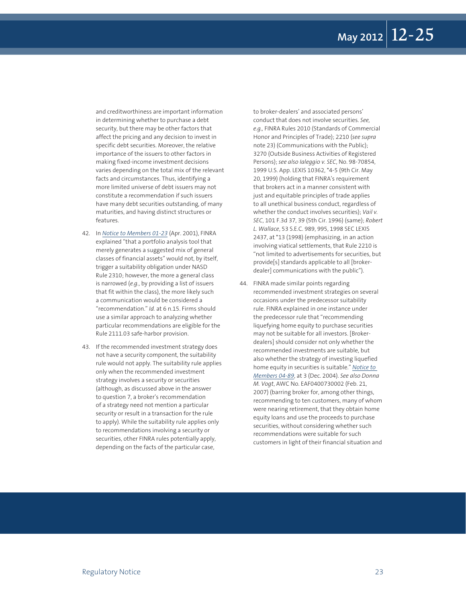and creditworthiness are important information in determining whether to purchase a debt security, but there may be other factors that affect the pricing and any decision to invest in specific debt securities. Moreover, the relative importance of the issuers to other factors in making fixed-income investment decisions varies depending on the total mix of the relevant facts and circumstances. Thus, identifying a more limited universe of debt issuers may not constitute a recommendation if such issuers have many debt securities outstanding, of many maturities, and having distinct structures or features.

- 42. In *[Notice to Members 01-23](http://www.finra.org/Industry/Regulation/Notices/2001/P003886)* (Apr. 2001), FINRA explained "that a portfolio analysis tool that merely generates a suggested mix of general classes of financial assets" would not, by itself, trigger a suitability obligation under NASD Rule 2310; however, the more a general class is narrowed (*e.g.*, by providing a list of issuers that fit within the class), the more likely such a communication would be considered a "recommendation." *Id.* at 6 n.15. Firms should use a similar approach to analyzing whether particular recommendations are eligible for the Rule 2111.03 safe-harbor provision.
- 43. If the recommended investment strategy does not have a security component, the suitability rule would not apply. The suitability rule applies only when the recommended investment strategy involves a security or securities (although, as discussed above in the answer to question 7, a broker's recommendation of a strategy need not mention a particular security or result in a transaction for the rule to apply). While the suitability rule applies only to recommendations involving a security or securities, other FINRA rules potentially apply, depending on the facts of the particular case,

to broker-dealers' and associated persons' conduct that does not involve securities. *See, e.g.,* FINRA Rules 2010 (Standards of Commercial Honor and Principles of Trade); 2210 (*see supra* note 23) (Communications with the Public); 3270 (Outside Business Activities of Registered Persons); *see also Ialeggio v. SEC*, No. 98-70854, 1999 U.S. App. LEXIS 10362, \*4-5 (9th Cir. May 20, 1999) (holding that FINRA's requirement that brokers act in a manner consistent with just and equitable principles of trade applies to all unethical business conduct, regardless of whether the conduct involves securities); *Vail v. SEC*, 101 F.3d 37, 39 (5th Cir. 1996) (same); *Robert L. Wallace*, 53 S.E.C. 989, 995, 1998 SEC LEXIS 2437, at \*13 (1998) (emphasizing, in an action involving viatical settlements, that Rule 2210 is "not limited to advertisements for securities, but provide[s] standards applicable to all [brokerdealer] communications with the public").

44. FINRA made similar points regarding recommended investment strategies on several occasions under the predecessor suitability rule. FINRA explained in one instance under the predecessor rule that "recommending liquefying home equity to purchase securities may not be suitable for all investors. [Brokerdealers] should consider not only whether the recommended investments are suitable, but also whether the strategy of investing liquefied home equity in securities is suitable." *[Notice to](http://www.finra.org/Industry/Regulation/Notices/2004/P012715)  [Members 04-89](http://www.finra.org/Industry/Regulation/Notices/2004/P012715)*, at 3 (Dec. 2004). *See also Donna M. Vogt*, AWC No. EAF0400730002 (Feb. 21, 2007) (barring broker for, among other things, recommending to ten customers, many of whom were nearing retirement, that they obtain home equity loans and use the proceeds to purchase securities, without considering whether such recommendations were suitable for such customers in light of their financial situation and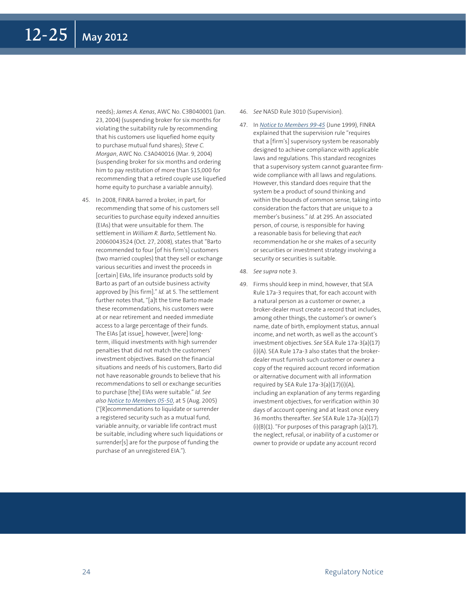needs); *James A. Kenas*, AWC No. C3B040001 (Jan. 23, 2004) (suspending broker for six months for violating the suitability rule by recommending that his customers use liquefied home equity to purchase mutual fund shares); *Steve C. Morgan*, AWC No. C3A040016 (Mar. 9, 2004) (suspending broker for six months and ordering him to pay restitution of more than \$15,000 for recommending that a retired couple use liquefied home equity to purchase a variable annuity).

45. In 2008, FINRA barred a broker, in part, for recommending that some of his customers sell securities to purchase equity indexed annuities (EIAs) that were unsuitable for them. The settlement in *William R. Barto*, Settlement No. 20060043524 (Oct. 27, 2008), states that "Barto recommended to four [of his firm's] customers (two married couples) that they sell or exchange various securities and invest the proceeds in [certain] EIAs, life insurance products sold by Barto as part of an outside business activity approved by [his firm]." *Id.* at 5. The settlement further notes that, "[a]t the time Barto made these recommendations, his customers were at or near retirement and needed immediate access to a large percentage of their funds. The EIAs [at issue], however, [were] longterm, illiquid investments with high surrender penalties that did not match the customers' investment objectives. Based on the financial situations and needs of his customers, Barto did not have reasonable grounds to believe that his recommendations to sell or exchange securities to purchase [the] EIAs were suitable." *Id. See also [Notice to Members 05-50](http://www.finra.org/Industry/Regulation/Notices/2005/P014820)*, at 5 (Aug. 2005) ("[R]ecommendations to liquidate or surrender a registered security such as a mutual fund, variable annuity, or variable life contract must be suitable, including where such liquidations or surrender[s] are for the purpose of funding the purchase of an unregistered EIA.").

- 46. *See* NASD Rule 3010 (Supervision).
- 47. In *[Notice to Members 99-45](http://www.finra.org/Industry/Regulation/Notices/1999/P004310)* (June 1999), FINRA explained that the supervision rule "requires that a [firm's] supervisory system be reasonably designed to achieve compliance with applicable laws and regulations. This standard recognizes that a supervisory system cannot guarantee firmwide compliance with all laws and regulations. However, this standard does require that the system be a product of sound thinking and within the bounds of common sense, taking into consideration the factors that are unique to a member's business." *Id.* at 295. An associated person, of course, is responsible for having a reasonable basis for believing that *each*  recommendation he or she makes of a security or securities or investment strategy involving a security or securities is suitable.
- 48. *See supra* note 3.
- 49. Firms should keep in mind, however, that SEA Rule 17a-3 requires that, for each account with a natural person as a customer or owner, a broker-dealer must create a record that includes, among other things, the customer's or owner's name, date of birth, employment status, annual income, and net worth, as well as the account's investment objectives. *See* SEA Rule 17a-3(a)(17) (i)(A). SEA Rule 17a-3 also states that the brokerdealer must furnish such customer or owner a copy of the required account record information or alternative document with all information required by SEA Rule 17a-3(a)(17)(i)(A), including an explanation of any terms regarding investment objectives, for verification within 30 days of account opening and at least once every 36 months thereafter. *See* SEA Rule 17a-3(a)(17)  $(i)(B)(1)$ . "For purposes of this paragraph  $(a)(17)$ , the neglect, refusal, or inability of a customer or owner to provide or update any account record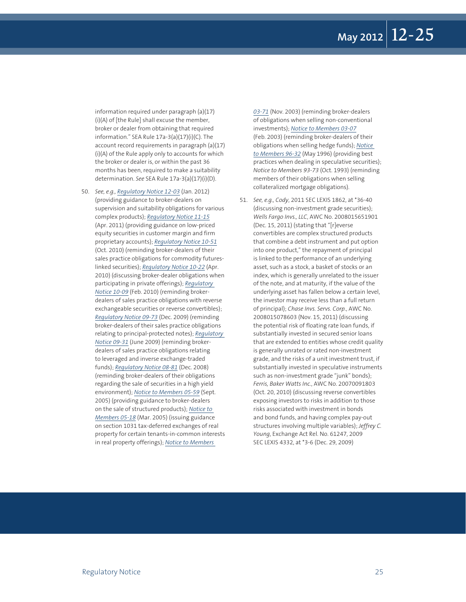information required under paragraph (a)(17) (i)(A) of [the Rule] shall excuse the member, broker or dealer from obtaining that required information." SEA Rule 17a-3(a)(17)(i)(C). The account record requirements in paragraph (a)(17) (i)(A) of the Rule apply only to accounts for which the broker or dealer is, or within the past 36 months has been, required to make a suitability determination. *See* SEA Rule 17a-3(a)(17)(i)(D).

50. *See, e.g., [Regulatory Notice 12-03](http://www.finra.org/Industry/Regulation/Notices/2012/P125398)* (Jan. 2012) (providing guidance to broker-dealers on supervision and suitability obligations for various complex products); *[Regulatory Notice 11-15](http://www.finra.org/Industry/Regulation/Notices/2011/P123432)* (Apr. 2011) (providing guidance on low-priced equity securities in customer margin and firm proprietary accounts); *[Regulatory Notice 10-51](http://www.finra.org/Industry/Regulation/Notices/2010/P122290)* (Oct. 2010) (reminding broker-dealers of their sales practice obligations for commodity futureslinked securities); *[Regulatory Notice 10-22](http://www.finra.org/Industry/Regulation/Notices/2010/P121299)* (Apr. 2010) (discussing broker-dealer obligations when participating in private offerings); *[Regulatory](http://www.finra.org/Industry/Regulation/Notices/2010/P120921)  [Notice 10-09](http://www.finra.org/Industry/Regulation/Notices/2010/P120921)* (Feb. 2010) (reminding brokerdealers of sales practice obligations with reverse exchangeable securities or reverse convertibles); *[Regulatory Notice 09-73](http://www.finra.org/Industry/Regulation/Notices/2009/P120597)* (Dec. 2009) (reminding broker-dealers of their sales practice obligations relating to principal-protected notes); *[Regulatory](http://www.finra.org/Industry/Regulation/Notices/2009/P118953)  [Notice 09-31](http://www.finra.org/Industry/Regulation/Notices/2009/P118953)* (June 2009) (reminding brokerdealers of sales practice obligations relating to leveraged and inverse exchange-traded funds); *Regulatory Notice 08-81* (Dec. 2008) (reminding broker-dealers of their obligations regarding the sale of securities in a high yield environment); *[Notice to Members 05-59](http://www.finra.org/Industry/Regulation/Notices/2005/P014998)* (Sept. 2005) (providing guidance to broker-dealers on the sale of structured products); *[Notice to](http://www.finra.org/Industry/Regulation/Notices/2005/P013456)  [Members 05-18](http://www.finra.org/Industry/Regulation/Notices/2005/P013456)* (Mar. 2005) (issuing guidance on section 1031 tax-deferred exchanges of real property for certain tenants-in-common interests in real property offerings); *[Notice to Members](http://www.finra.org/Industry/Regulation/Notices/2003/P003069)* 

*[03-71](http://www.finra.org/Industry/Regulation/Notices/2003/P003069)* (Nov. 2003) (reminding broker-dealers of obligations when selling non-conventional investments); *[Notice to Members 03-07](http://www.finra.org/Industry/Regulation/Notices/2003/P003356)* (Feb. 2003) (reminding broker-dealers of their obligations when selling hedge funds); *[Notice](http://www.finra.org/Industry/Regulation/Notices/1996/P004998)  [to Members 96-32](http://www.finra.org/Industry/Regulation/Notices/1996/P004998)* (May 1996) (providing best practices when dealing in speculative securities); *Notice to Members 93-73* (Oct. 1993) (reminding members of their obligations when selling collateralized mortgage obligations).

51. *See, e.g., Cody*, 2011 SEC LEXIS 1862, at \*36-40 (discussing non-investment grade securities); *Wells Fargo Invs., LLC*, AWC No. 2008015651901 (Dec. 15, 2011) (stating that "[r]everse convertibles are complex structured products that combine a debt instrument and put option into one product," the repayment of principal is linked to the performance of an underlying asset, such as a stock, a basket of stocks or an index, which is generally unrelated to the issuer of the note, and at maturity, if the value of the underlying asset has fallen below a certain level, the investor may receive less than a full return of principal); *Chase Invs. Servs. Corp.*, AWC No. 2008015078603 (Nov. 15, 2011) (discussing the potential risk of floating rate loan funds, if substantially invested in secured senior loans that are extended to entities whose credit quality is generally unrated or rated non-investment grade, and the risks of a unit investment trust, if substantially invested in speculative instruments such as non-investment grade "junk" bonds); *Ferris, Baker Watts Inc.*, AWC No. 20070091803 (Oct. 20, 2010) (discussing reverse convertibles exposing investors to risks in addition to those risks associated with investment in bonds and bond funds, and having complex pay-out structures involving multiple variables); *Jeffrey C. Young*, Exchange Act Rel. No. 61247, 2009 SEC LEXIS 4332, at \*3-6 (Dec. 29, 2009)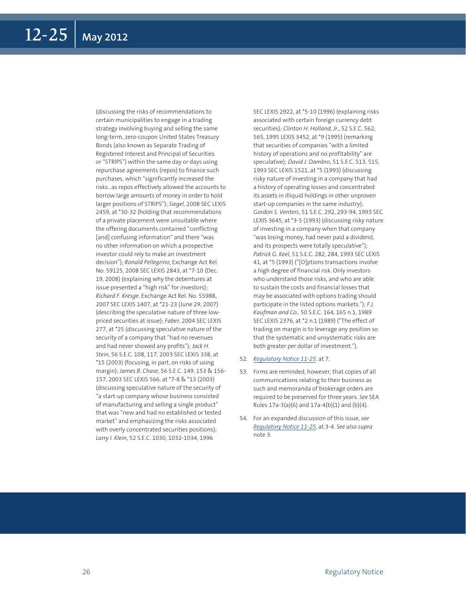(discussing the risks of recommendations to certain municipalities to engage in a trading strategy involving buying and selling the same long-term, zero-coupon United States Treasury Bonds (also known as Separate Trading of Registered Interest and Principal of Securities or "STRIPS") within the same day or days using repurchase agreements (repos) to finance such purchases, which "significantly increased the risks…as repos effectively allowed the accounts to borrow large amounts of money in order to hold larger positions of STRIPS"); *Siegel*, 2008 SEC LEXIS 2459, at \*30-32 (holding that recommendations of a private placement were unsuitable where the offering documents contained "conflicting [and] confusing information" and there "was no other information on which a prospective investor could rely to make an investment decision"); *Ronald Pellegrino*, Exchange Act Rel. No. 59125, 2008 SEC LEXIS 2843, at \*7-10 (Dec. 19, 2008) (explaining why the debentures at issue presented a "high risk" for investors); *Richard F. Kresge*, Exchange Act Rel. No. 55988, 2007 SEC LEXIS 1407, at \*21-23 (June 29, 2007) (describing the speculative nature of three lowpriced securities at issue); *Faber*, 2004 SEC LEXIS 277, at \*25 (discussing speculative nature of the security of a company that "had no revenues and had never showed any profits"); *Jack H. Stein*, 56 S.E.C. 108, 117, 2003 SEC LEXIS 338, at \*15 (2003) (focusing, in part, on risks of using margin); *James B. Chase*, 56 S.E.C. 149, 153 & 156- 157, 2003 SEC LEXIS 566, at \*7-8 & \*13 (2003) (discussing speculative nature of the security of "a start-up company whose business consisted of manufacturing and selling a single product" that was "new and had no established or tested market" and emphasizing the risks associated with overly concentrated securities positions); *Larry I. Klein*, 52 S.E.C. 1030, 1032-1034, 1996

SEC LEXIS 2922, at \*5-10 (1996) (explaining risks associated with certain foreign currency debt securities); *Clinton H. Holland, Jr.*, 52 S.E.C. 562, 565, 1995 LEXIS 3452, at \*9 (1995) (remarking that securities of companies "with a limited history of operations and no profitability" are speculative); *David J. Dambro*, 51 S.E.C. 513, 515, 1993 SEC LEXIS 1521, at \*5 (1993) (discussing risky nature of investing in a company that had a history of operating losses and concentrated its assets in illiquid holdings in other unproven start-up companies in the same industry); *Gordon S. Venters*, 51 S.E.C. 292, 293-94, 1993 SEC LEXIS 3645, at \*3-5 (1993) (discussing risky nature of investing in a company when that company "was losing money, had never paid a dividend, and its prospects were totally speculative"); *Patrick G. Keel*, 51 S.E.C. 282, 284, 1993 SEC LEXIS 41, at \*5 (1993) ("[O]ptions transactions involve a high degree of financial risk. Only investors who understand those risks, and who are able to sustain the costs and financial losses that may be associated with options trading should participate in the listed options markets."); *F.J. Kaufman and Co.*, 50 S.E.C. 164, 165 n.1, 1989 SEC LEXIS 2376, at \*2 n.1 (1989) ("The effect of trading on margin is to leverage any position so that the systematic and unsystematic risks are both greater per dollar of investment.").

- 52. *[Regulatory Notice 11-25](http://www.finra.org/Industry/Regulation/Notices/2011/P123702)*, at 7.
- 53. Firms are reminded, however, that copies of all communications relating to their business as such and memoranda of brokerage orders are required to be preserved for three years. *See* SEA Rules  $17a-3(a)(6)$  and  $17a-4(b)(1)$  and  $(b)(4)$ .
- 54. For an expanded discussion of this issue, *see [Regulatory Notice 11-25](http://www.finra.org/Industry/Regulation/Notices/2011/P123702)*, at 3-4. *See also supra* note 3.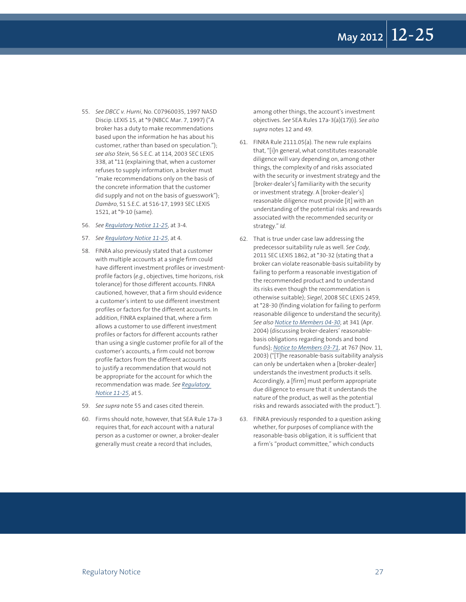- 55. *See DBCC v. Hurni*, No. C07960035, 1997 NASD Discip. LEXIS 15, at \*9 (NBCC Mar. 7, 1997) ("A broker has a duty to make recommendations based upon the information he has about his customer, rather than based on speculation."); *see also Stein*, 56 S.E.C. at 114, 2003 SEC LEXIS 338, at \*11 (explaining that, when a customer refuses to supply information, a broker must "make recommendations only on the basis of the concrete information that the customer did supply and not on the basis of guesswork"); *Dambro*, 51 S.E.C. at 516-17, 1993 SEC LEXIS 1521, at \*9-10 (same).
- 56. *See [Regulatory Notice 11-25](http://www.finra.org/Industry/Regulation/Notices/2011/P123702)*, at 3-4.
- 57. *See [Regulatory Notice 11-25](http://www.finra.org/Industry/Regulation/Notices/2011/P123702)*, at 4.
- 58. FINRA also previously stated that a customer with multiple accounts at a single firm could have different investment profiles or investmentprofile factors (*e.g.*, objectives, time horizons, risk tolerance) for those different accounts. FINRA cautioned, however, that a firm should evidence a customer's intent to use different investment profiles or factors for the different accounts. In addition, FINRA explained that, where a firm allows a customer to use different investment profiles or factors for different accounts rather than using a single customer profile for all of the customer's accounts, a firm could not borrow profile factors from the different accounts to justify a recommendation that would not be appropriate for the account for which the recommendation was made. *See [Regulatory](http://www.finra.org/Industry/Regulation/Notices/2011/P123702)  [Notice 11-25](http://www.finra.org/Industry/Regulation/Notices/2011/P123702)*, at 5.
- 59. *See supra* note 55 and cases cited therein.
- 60. Firms should note, however, that SEA Rule 17a-3 requires that, for *each* account with a natural person as a customer or owner, a broker-dealer generally must create a record that includes,

among other things, the account's investment objectives. *See* SEA Rules 17a-3(a)(17)(i). *See also supra* notes 12 and 49.

- 61. FINRA Rule 2111.05(a). The new rule explains that, "[i]n general, what constitutes reasonable diligence will vary depending on, among other things, the complexity of and risks associated with the security or investment strategy and the [broker-dealer's] familiarity with the security or investment strategy. A [broker-dealer's] reasonable diligence must provide [it] with an understanding of the potential risks and rewards associated with the recommended security or strategy." *Id.*
- 62. That is true under case law addressing the predecessor suitability rule as well. *See Cody*, 2011 SEC LEXIS 1862, at \*30-32 (stating that a broker can violate reasonable-basis suitability by failing to perform a reasonable investigation of the recommended product and to understand its risks even though the recommendation is otherwise suitable); *Siegel*, 2008 SEC LEXIS 2459, at \*28-30 (finding violation for failing to perform reasonable diligence to understand the security). *See also [Notice to Members 04-30](http://www.finra.org/Industry/Regulation/Notices/2004/P003129)*, at 341 (Apr. 2004) (discussing broker-dealers' reasonablebasis obligations regarding bonds and bond funds); *[Notice to Members 03-71](http://www.finra.org/Industry/Regulation/Notices/2003/P003069)*, at 767 (Nov. 11, 2003) ("[T]he reasonable-basis suitability analysis can only be undertaken when a [broker-dealer] understands the investment products it sells. Accordingly, a [firm] must perform appropriate due diligence to ensure that it understands the nature of the product, as well as the potential risks and rewards associated with the product.").
- 63. FINRA previously responded to a question asking whether, for purposes of compliance with the reasonable-basis obligation, it is sufficient that a firm's "product committee," which conducts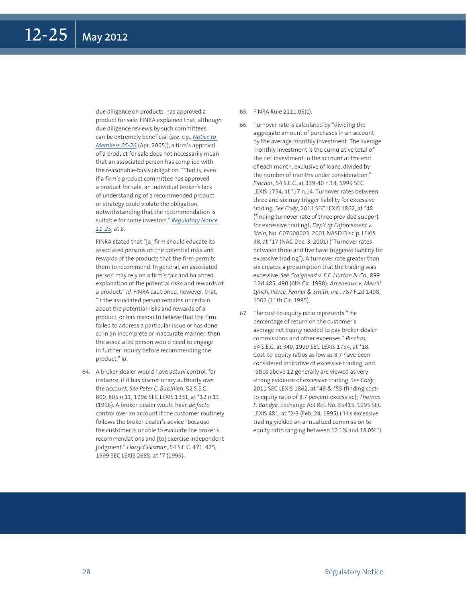due diligence on products, has approved a product for sale. FINRA explained that, although due diligence reviews by such committees can be extremely beneficial (*see, e.g., [Notice to](http://www.finra.org/Industry/Regulation/Notices/2005/P013756)  [Members 05-26](http://www.finra.org/Industry/Regulation/Notices/2005/P013756)* (Apr. 2005)), a firm's approval of a product for sale does not necessarily mean that an associated person has complied with the reasonable-basis obligation. "That is, even if a firm's product committee has approved a product for sale, an individual broker's lack of understanding of a recommended product or strategy could violate the obligation, notwithstanding that the recommendation is suitable for some investors." *[Regulatory Notice](http://www.finra.org/Industry/Regulation/Notices/2011/P123702)  [11-25](http://www.finra.org/Industry/Regulation/Notices/2011/P123702)*, at 8.

 FINRA stated that "[a] firm should educate its associated persons on the potential risks and rewards of the products that the firm permits them to recommend. In general, an associated person may rely on a firm's fair and balanced explanation of the potential risks and rewards of a product." *Id.* FINRA cautioned, however, that, "if the associated person remains uncertain about the potential risks and rewards of a product, or has reason to believe that the firm failed to address a particular issue or has done so in an incomplete or inaccurate manner, then the associated person would need to engage in further inquiry before recommending the product." *Id.*

64. A broker-dealer would have *actual* control, for instance, if it has discretionary authority over the account. *See Peter C. Bucchieri*, 52 S.E.C. 800, 805 n.11, 1996 SEC LEXIS 1331, at \*12 n.11 (1996). A broker-dealer would have *de facto*  control over an account if the customer routinely follows the broker-dealer's advice "because the customer is unable to evaluate the broker's recommendations and [to] exercise independent judgment." *Harry Gliksman*, 54 S.E.C. 471, 475, 1999 SEC LEXIS 2685, at \*7 (1999).

#### 65. FINRA Rule 2111.05(c).

- 66. Turnover rate is calculated by "dividing the aggregate amount of purchases in an account by the average monthly investment. The average monthly investment is the cumulative total of the net investment in the account at the end of each month, exclusive of loans, divided by the number of months under consideration." *Pinchas*, 54 S.E.C. at 339-40 n.14, 1999 SEC LEXIS 1754, at \*17 n.14. Turnover rates between three and six may trigger liability for excessive trading. *See Cody*, 2011 SEC LEXIS 1862, at \*48 (finding turnover rate of three provided support for excessive trading); *Dep't of Enforcement v. Stein*, No. C07000003, 2001 NASD Discip. LEXIS 38, at \*17 (NAC Dec. 3, 2001) ("Turnover rates between three and five have triggered liability for excessive trading"). A turnover rate greater than six creates a presumption that the trading was excessive. *See Craighead v. E.F. Hutton & Co.*, 899 F.2d 485, 490 (6th Cir. 1990); *Arceneaux v. Merrill Lynch, Pierce, Fenner & Smith, Inc.*, 767 F.2d 1498, 1502 (11th Cir. 1985).
- 67. The cost-to-equity ratio represents "the percentage of return on the customer's average net equity needed to pay broker-dealer commissions and other expenses." *Pinchas*, 54 S.E.C. at 340, 1999 SEC LEXIS 1754, at \*18. Cost-to-equity ratios as low as 8.7 have been considered indicative of excessive trading, and ratios above 12 generally are viewed as very strong evidence of excessive trading. *See Cody*, 2011 SEC LEXIS 1862, at \*49 & \*55 (finding costto-equity ratio of 8.7 percent excessive); *Thomas F. Bandyk*, Exchange Act Rel. No. 35415, 1995 SEC LEXIS 481, at \*2-3 (Feb. 24, 1995) ("His excessive trading yielded an annualized commission to equity ratio ranging between 12.1% and 18.0%.").